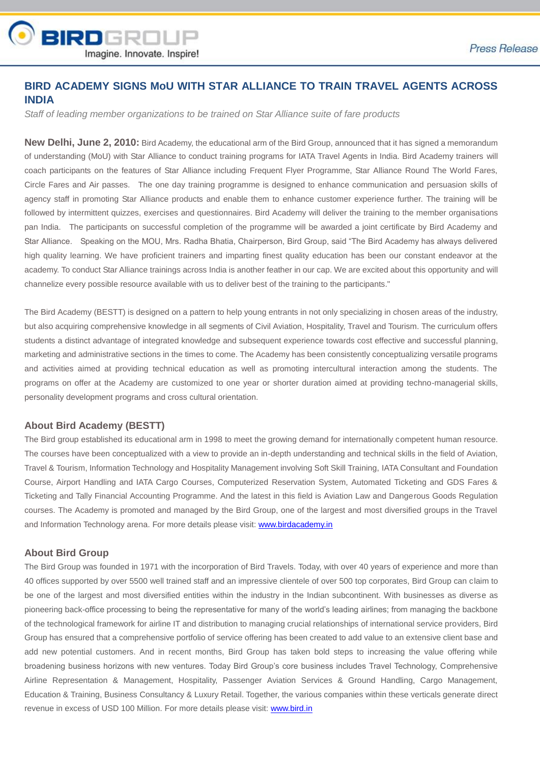

## **BIRD ACADEMY SIGNS MoU WITH STAR ALLIANCE TO TRAIN TRAVEL AGENTS ACROSS INDIA**

*Staff of leading member organizations to be trained on Star Alliance suite of fare products*

**New Delhi, June 2, 2010:** Bird Academy, the educational arm of the Bird Group, announced that it has signed a memorandum of understanding (MoU) with Star Alliance to conduct training programs for IATA Travel Agents in India. Bird Academy trainers will coach participants on the features of Star Alliance including Frequent Flyer Programme, Star Alliance Round The World Fares, Circle Fares and Air passes. The one day training programme is designed to enhance communication and persuasion skills of agency staff in promoting Star Alliance products and enable them to enhance customer experience further. The training will be followed by intermittent quizzes, exercises and questionnaires. Bird Academy will deliver the training to the member organisations pan India. The participants on successful completion of the programme will be awarded a joint certificate by Bird Academy and Star Alliance. Speaking on the MOU, Mrs. Radha Bhatia, Chairperson, Bird Group, said "The Bird Academy has always delivered high quality learning. We have proficient trainers and imparting finest quality education has been our constant endeavor at the academy. To conduct Star Alliance trainings across India is another feather in our cap. We are excited about this opportunity and will channelize every possible resource available with us to deliver best of the training to the participants."

The Bird Academy (BESTT) is designed on a pattern to help young entrants in not only specializing in chosen areas of the industry, but also acquiring comprehensive knowledge in all segments of Civil Aviation, Hospitality, Travel and Tourism. The curriculum offers students a distinct advantage of integrated knowledge and subsequent experience towards cost effective and successful planning, marketing and administrative sections in the times to come. The Academy has been consistently conceptualizing versatile programs and activities aimed at providing technical education as well as promoting intercultural interaction among the students. The programs on offer at the Academy are customized to one year or shorter duration aimed at providing techno-managerial skills, personality development programs and cross cultural orientation.

## **About Bird Academy (BESTT)**

The Bird group established its educational arm in 1998 to meet the growing demand for internationally competent human resource. The courses have been conceptualized with a view to provide an in-depth understanding and technical skills in the field of Aviation, Travel & Tourism, Information Technology and Hospitality Management involving Soft Skill Training, IATA Consultant and Foundation Course, Airport Handling and IATA Cargo Courses, Computerized Reservation System, Automated Ticketing and GDS Fares & Ticketing and Tally Financial Accounting Programme. And the latest in this field is Aviation Law and Dangerous Goods Regulation courses. The Academy is promoted and managed by the Bird Group, one of the largest and most diversified groups in the Travel and Information Technology arena. For more details please visit: www.birdacademy.in

## **About Bird Group**

The Bird Group was founded in 1971 with the incorporation of Bird Travels. Today, with over 40 years of experience and more than 40 offices supported by over 5500 well trained staff and an impressive clientele of over 500 top corporates, Bird Group can claim to be one of the largest and most diversified entities within the industry in the Indian subcontinent. With businesses as diverse as pioneering back-office processing to being the representative for many of the world's leading airlines; from managing the backbone of the technological framework for airline IT and distribution to managing crucial relationships of international service providers, Bird Group has ensured that a comprehensive portfolio of service offering has been created to add value to an extensive client base and add new potential customers. And in recent months, Bird Group has taken bold steps to increasing the value offering while broadening business horizons with new ventures. Today Bird Group's core business includes Travel Technology, Comprehensive Airline Representation & Management, Hospitality, Passenger Aviation Services & Ground Handling, Cargo Management, Education & Training, Business Consultancy & Luxury Retail. Together, the various companies within these verticals generate direct revenue in excess of USD 100 Million. For more details please visit[: www.bird.in](http://www.bird.in/)